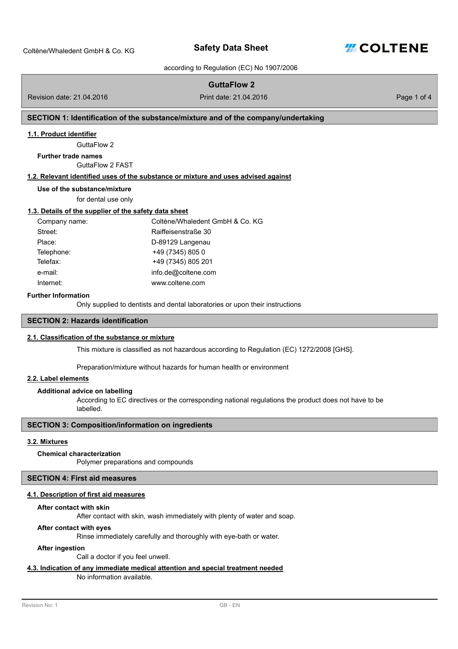

according to Regulation (EC) No 1907/2006

# **GuttaFlow 2**

Revision date: 21.04.2016 Print date: 21.04.2016

Page 1 of 4

## **SECTION 1: Identification of the substance/mixture and of the company/undertaking**

#### **1.1. Product identifier**

GuttaFlow 2

## **Further trade names**

GuttaFlow 2 FAST

## **1.2. Relevant identified uses of the substance or mixture and uses advised against**

**Use of the substance/mixture**

for dental use only

#### **1.3. Details of the supplier of the safety data sheet**

| Company name: | Coltène/Whaledent GmbH & Co. KG |
|---------------|---------------------------------|
| Street:       | Raiffeisenstraße 30             |
| Place:        | D-89129 Langenau                |
| Telephone:    | +49 (7345) 805 0                |
| Telefax:      | +49 (7345) 805 201              |
| e-mail:       | info.de@coltene.com             |
| Internet:     | www.coltene.com                 |

#### **Further Information**

Only supplied to dentist[s and dental laboratories or upon their instructions](mailto:info.de@coltene.com)

## **SECTION 2: Hazards identification**

# **2.1. Classification of the substance or mixture**

This mixture is classified as not hazardous according to Regulation (EC) 1272/2008 [GHS].

Preparation/mixture without hazards for human health or environment

## **2.2. Label elements**

## **Additional advice on labelling**

According to EC directives or the corresponding national regulations the product does not have to be labelled.

## **SECTION 3: Composition/information on ingredients**

# **3.2. Mixtures**

#### **Chemical characterization**

Polymer preparations and compounds

## **SECTION 4: First aid measures**

## **4.1. Description of first aid measures**

#### **After contact with skin**

After contact with skin, wash immediately with plenty of water and soap.

#### **After contact with eyes**

Rinse immediately carefully and thoroughly with eye-bath or water.

#### **After ingestion**

Call a doctor if you feel unwell.

# **4.3. Indication of any immediate medical attention and special treatment needed**

No information available.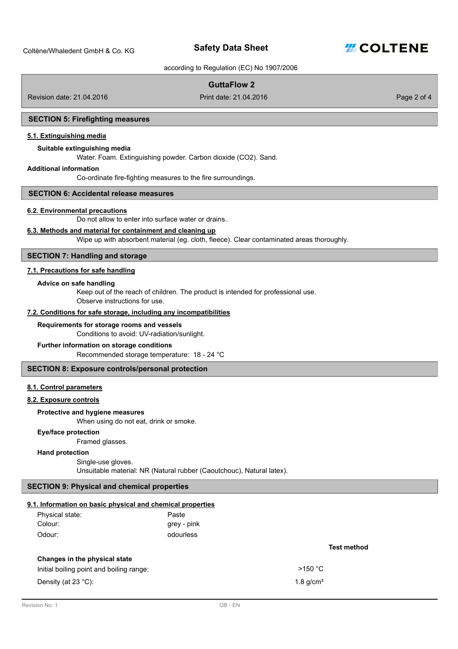

according to Regulation (EC) No 1907/2006

# **GuttaFlow 2**

Revision date: 21.04.2016 Print date: 21.04.2016

Page 2 of 4

#### **SECTION 5: Firefighting measures**

## **5.1. Extinguishing media**

#### **Suitable extinguishing media**

Water. Foam. Extinguishing powder. Carbon dioxide (CO2). Sand.

## **Additional information**

Co-ordinate fire-fighting measures to the fire surroundings.

## **SECTION 6: Accidental release measures**

#### **6.2. Environmental precautions**

Do not allow to enter into surface water or drains.

## **6.3. Methods and material for containment and cleaning up**

Wipe up with absorbent material (eg. cloth, fleece). Clear contaminated areas thoroughly.

## **SECTION 7: Handling and storage**

## **7.1. Precautions for safe handling**

#### **Advice on safe handling**

Keep out of the reach of children. The product is intended for professional use. Observe instructions for use.

## **7.2. Conditions for safe storage, including any incompatibilities**

#### **Requirements for storage rooms and vessels**

Conditions to avoid: UV-radiation/sunlight.

## **Further information on storage conditions**

Recommended storage temperature: 18 - 24 °C

## **SECTION 8: Exposure controls/personal protection**

## **8.1. Control parameters**

**8.2. Exposure controls**

#### **Protective and hygiene measures**

When using do not eat, drink or smoke.

#### **Eye/face protection**

Framed glasses.

## **Hand protection**

Single-use gloves.

Unsuitable material: NR (Natural rubber (Caoutchouc), Natural latex).

# **SECTION 9: Physical and chemical properties**

## **9.1. Information on basic physical and chemical properties**

| Physical state: | Paste       |
|-----------------|-------------|
| Colour:         | grey - pink |
| Odour:          | odourless   |

## **Changes in the physical state**

Initial boiling point and boiling range:  $>150 °C$ 

Density (at 23 °C):  $1.8 \text{ g/cm}^3$ 

#### **Test method**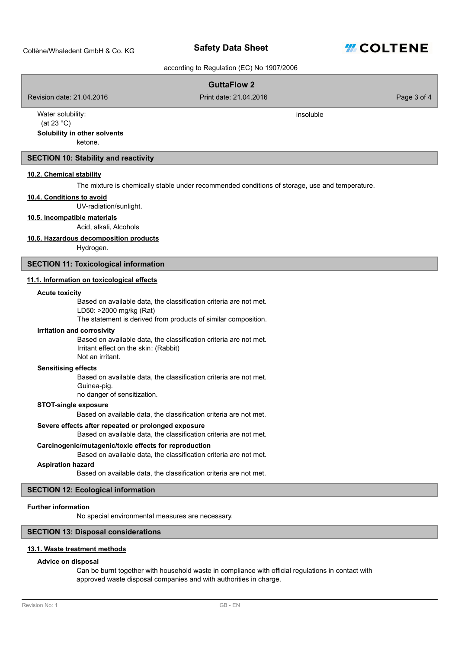**Safety Data Sheet**



according to Regulation (EC) No 1907/2006

# **GuttaFlow 2**

Revision date: 21.04.2016 Print date: 21.04.2016

insoluble

Page 3 of 4

Water solubility: (at 23 °C)

## **Solubility in other solvents**

ketone.

### **SECTION 10: Stability and reactivity**

## **10.2. Chemical stability**

The mixture is chemically stable under recommended conditions of storage, use and temperature.

## **10.4. Conditions to avoid**

UV-radiation/sunlight.

# **10.5. Incompatible materials**

Acid, alkali, Alcohols

#### **10.6. Hazardous decomposition products**

Hydrogen.

#### **SECTION 11: Toxicological information**

#### **11.1. Information on toxicological effects**

#### **Acute toxicity**

Based on available data, the classification criteria are not met.

LD50: >2000 mg/kg (Rat)

The statement is derived from products of similar composition.

#### **Irritation and corrosivity**

Based on available data, the classification criteria are not met. Irritant effect on the skin: (Rabbit) Not an irritant.

## **Sensitising effects**

Based on available data, the classification criteria are not met. Guinea-pig.

no danger of sensitization.

## **STOT-single exposure**

Based on available data, the classification criteria are not met.

## **Severe effects after repeated or prolonged exposure**

Based on available data, the classification criteria are not met.

#### **Carcinogenic/mutagenic/toxic effects for reproduction**

Based on available data, the classification criteria are not met.

#### **Aspiration hazard**

Based on available data, the classification criteria are not met.

## **SECTION 12: Ecological information**

### **Further information**

No special environmental measures are necessary.

#### **SECTION 13: Disposal considerations**

#### **13.1. Waste treatment methods**

#### **Advice on disposal**

Can be burnt together with household waste in compliance with official regulations in contact with approved waste disposal companies and with authorities in charge.